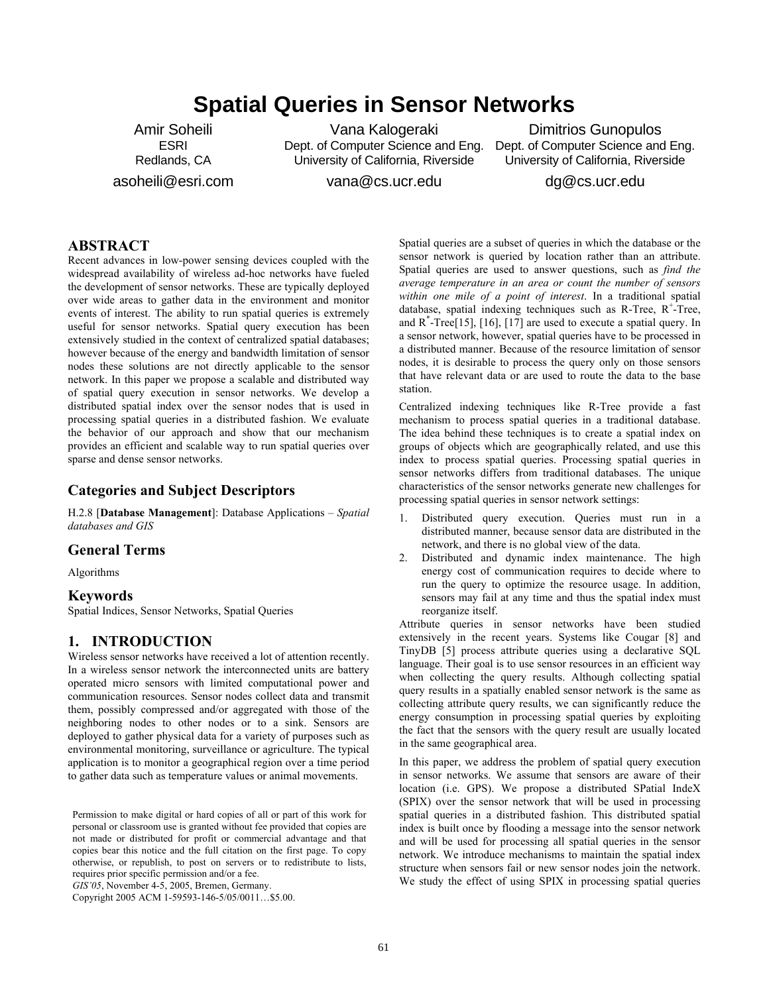# **Spatial Queries in Sensor Networks**

Amir Soheili ESRI Redlands, CA asoheili@esri.com

Vana Kalogeraki Dept. of Computer Science and Eng. Dept. of Computer Science and Eng. University of California, Riverside

Dimitrios Gunopulos University of California, Riverside

vana@cs.ucr.edu

dg@cs.ucr.edu

## **ABSTRACT**

Recent advances in low-power sensing devices coupled with the widespread availability of wireless ad-hoc networks have fueled the development of sensor networks. These are typically deployed over wide areas to gather data in the environment and monitor events of interest. The ability to run spatial queries is extremely useful for sensor networks. Spatial query execution has been extensively studied in the context of centralized spatial databases; however because of the energy and bandwidth limitation of sensor nodes these solutions are not directly applicable to the sensor network. In this paper we propose a scalable and distributed way of spatial query execution in sensor networks. We develop a distributed spatial index over the sensor nodes that is used in processing spatial queries in a distributed fashion. We evaluate the behavior of our approach and show that our mechanism provides an efficient and scalable way to run spatial queries over sparse and dense sensor networks.

## **Categories and Subject Descriptors**

H.2.8 [**Database Management**]: Database Applications – *Spatial databases and GIS*

### **General Terms**

Algorithms

### **Keywords**

Spatial Indices, Sensor Networks, Spatial Queries

## **1. INTRODUCTION**

Wireless sensor networks have received a lot of attention recently. In a wireless sensor network the interconnected units are battery operated micro sensors with limited computational power and communication resources. Sensor nodes collect data and transmit them, possibly compressed and/or aggregated with those of the neighboring nodes to other nodes or to a sink. Sensors are deployed to gather physical data for a variety of purposes such as environmental monitoring, surveillance or agriculture. The typical application is to monitor a geographical region over a time period to gather data such as temperature values or animal movements.

Permission to make digital or hard copies of all or part of this work for personal or classroom use is granted without fee provided that copies are not made or distributed for profit or commercial advantage and that copies bear this notice and the full citation on the first page. To copy otherwise, or republish, to post on servers or to redistribute to lists, requires prior specific permission and/or a fee.

*GIS'05*, November 4-5, 2005, Bremen, Germany.

Copyright 2005 ACM 1-59593-146-5/05/0011…\$5.00.

Spatial queries are a subset of queries in which the database or the sensor network is queried by location rather than an attribute. Spatial queries are used to answer questions, such as *find the average temperature in an area or count the number of sensors within one mile of a point of interest*. In a traditional spatial database, spatial indexing techniques such as R-Tree,  $R^+$ -Tree, and  $R^*$ -Tree<sup>[15]</sup>, [16], [17] are used to execute a spatial query. In a sensor network, however, spatial queries have to be processed in a distributed manner. Because of the resource limitation of sensor nodes, it is desirable to process the query only on those sensors that have relevant data or are used to route the data to the base station.

Centralized indexing techniques like R-Tree provide a fast mechanism to process spatial queries in a traditional database. The idea behind these techniques is to create a spatial index on groups of objects which are geographically related, and use this index to process spatial queries. Processing spatial queries in sensor networks differs from traditional databases. The unique characteristics of the sensor networks generate new challenges for processing spatial queries in sensor network settings:

- 1. Distributed query execution. Queries must run in a distributed manner, because sensor data are distributed in the network, and there is no global view of the data.
- 2. Distributed and dynamic index maintenance. The high energy cost of communication requires to decide where to run the query to optimize the resource usage. In addition, sensors may fail at any time and thus the spatial index must reorganize itself.

Attribute queries in sensor networks have been studied extensively in the recent years. Systems like Cougar [8] and TinyDB [5] process attribute queries using a declarative SQL language. Their goal is to use sensor resources in an efficient way when collecting the query results. Although collecting spatial query results in a spatially enabled sensor network is the same as collecting attribute query results, we can significantly reduce the energy consumption in processing spatial queries by exploiting the fact that the sensors with the query result are usually located in the same geographical area.

In this paper, we address the problem of spatial query execution in sensor networks. We assume that sensors are aware of their location (i.e. GPS). We propose a distributed SPatial IndeX (SPIX) over the sensor network that will be used in processing spatial queries in a distributed fashion. This distributed spatial index is built once by flooding a message into the sensor network and will be used for processing all spatial queries in the sensor network. We introduce mechanisms to maintain the spatial index structure when sensors fail or new sensor nodes join the network. We study the effect of using SPIX in processing spatial queries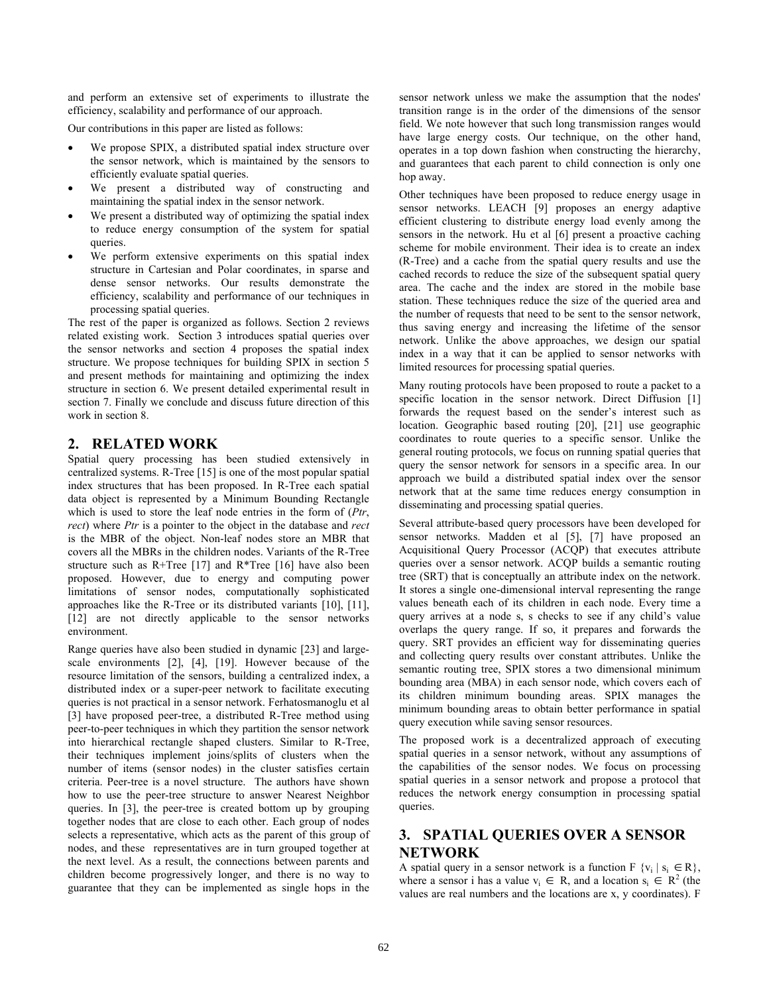and perform an extensive set of experiments to illustrate the efficiency, scalability and performance of our approach.

Our contributions in this paper are listed as follows:

- We propose SPIX, a distributed spatial index structure over the sensor network, which is maintained by the sensors to efficiently evaluate spatial queries.
- We present a distributed way of constructing and maintaining the spatial index in the sensor network.
- We present a distributed way of optimizing the spatial index to reduce energy consumption of the system for spatial queries.
- We perform extensive experiments on this spatial index structure in Cartesian and Polar coordinates, in sparse and dense sensor networks. Our results demonstrate the efficiency, scalability and performance of our techniques in processing spatial queries.

The rest of the paper is organized as follows. Section 2 reviews related existing work. Section 3 introduces spatial queries over the sensor networks and section 4 proposes the spatial index structure. We propose techniques for building SPIX in section 5 and present methods for maintaining and optimizing the index structure in section 6. We present detailed experimental result in section 7. Finally we conclude and discuss future direction of this work in section 8.

## **2. RELATED WORK**

Spatial query processing has been studied extensively in centralized systems. R-Tree [15] is one of the most popular spatial index structures that has been proposed. In R-Tree each spatial data object is represented by a Minimum Bounding Rectangle which is used to store the leaf node entries in the form of (*Ptr*, *rect*) where *Ptr* is a pointer to the object in the database and *rect* is the MBR of the object. Non-leaf nodes store an MBR that covers all the MBRs in the children nodes. Variants of the R-Tree structure such as R+Tree [17] and R\*Tree [16] have also been proposed. However, due to energy and computing power limitations of sensor nodes, computationally sophisticated approaches like the R-Tree or its distributed variants [10], [11], [12] are not directly applicable to the sensor networks environment.

Range queries have also been studied in dynamic [23] and largescale environments [2], [4], [19]. However because of the resource limitation of the sensors, building a centralized index, a distributed index or a super-peer network to facilitate executing queries is not practical in a sensor network. Ferhatosmanoglu et al [3] have proposed peer-tree, a distributed R-Tree method using peer-to-peer techniques in which they partition the sensor network into hierarchical rectangle shaped clusters. Similar to R-Tree, their techniques implement joins/splits of clusters when the number of items (sensor nodes) in the cluster satisfies certain criteria. Peer-tree is a novel structure. The authors have shown how to use the peer-tree structure to answer Nearest Neighbor queries. In [3], the peer-tree is created bottom up by grouping together nodes that are close to each other. Each group of nodes selects a representative, which acts as the parent of this group of nodes, and these representatives are in turn grouped together at the next level. As a result, the connections between parents and children become progressively longer, and there is no way to guarantee that they can be implemented as single hops in the sensor network unless we make the assumption that the nodes' transition range is in the order of the dimensions of the sensor field. We note however that such long transmission ranges would have large energy costs. Our technique, on the other hand, operates in a top down fashion when constructing the hierarchy, and guarantees that each parent to child connection is only one hop away.

Other techniques have been proposed to reduce energy usage in sensor networks. LEACH [9] proposes an energy adaptive efficient clustering to distribute energy load evenly among the sensors in the network. Hu et al [6] present a proactive caching scheme for mobile environment. Their idea is to create an index (R-Tree) and a cache from the spatial query results and use the cached records to reduce the size of the subsequent spatial query area. The cache and the index are stored in the mobile base station. These techniques reduce the size of the queried area and the number of requests that need to be sent to the sensor network, thus saving energy and increasing the lifetime of the sensor network. Unlike the above approaches, we design our spatial index in a way that it can be applied to sensor networks with limited resources for processing spatial queries.

Many routing protocols have been proposed to route a packet to a specific location in the sensor network. Direct Diffusion [1] forwards the request based on the sender's interest such as location. Geographic based routing [20], [21] use geographic coordinates to route queries to a specific sensor. Unlike the general routing protocols, we focus on running spatial queries that query the sensor network for sensors in a specific area. In our approach we build a distributed spatial index over the sensor network that at the same time reduces energy consumption in disseminating and processing spatial queries.

Several attribute-based query processors have been developed for sensor networks. Madden et al [5], [7] have proposed an Acquisitional Query Processor (ACQP) that executes attribute queries over a sensor network. ACQP builds a semantic routing tree (SRT) that is conceptually an attribute index on the network. It stores a single one-dimensional interval representing the range values beneath each of its children in each node. Every time a query arrives at a node s, s checks to see if any child's value overlaps the query range. If so, it prepares and forwards the query. SRT provides an efficient way for disseminating queries and collecting query results over constant attributes. Unlike the semantic routing tree, SPIX stores a two dimensional minimum bounding area (MBA) in each sensor node, which covers each of its children minimum bounding areas. SPIX manages the minimum bounding areas to obtain better performance in spatial query execution while saving sensor resources.

The proposed work is a decentralized approach of executing spatial queries in a sensor network, without any assumptions of the capabilities of the sensor nodes. We focus on processing spatial queries in a sensor network and propose a protocol that reduces the network energy consumption in processing spatial queries.

## **3. SPATIAL QUERIES OVER A SENSOR NETWORK**

A spatial query in a sensor network is a function  $F \{v_i \mid s_i \in R\}$ , where a sensor i has a value  $v_i \in R$ , and a location  $s_i \in R^2$  (the values are real numbers and the locations are x, y coordinates). F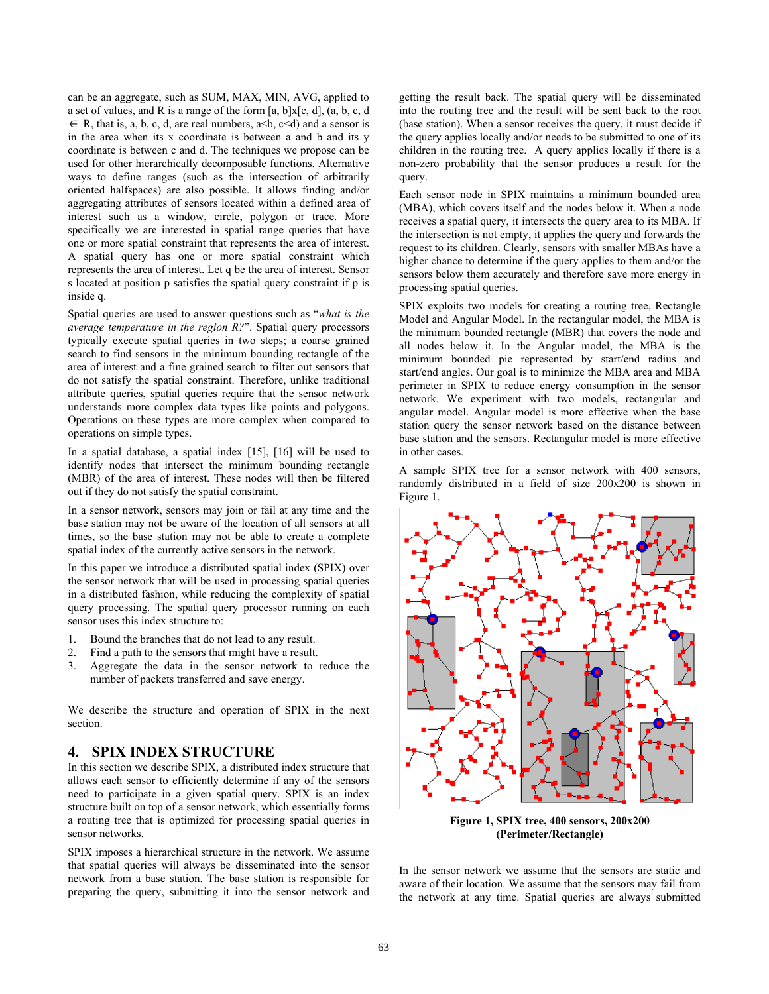can be an aggregate, such as SUM, MAX, MIN, AVG, applied to a set of values, and R is a range of the form [a, b]x[c, d], (a, b, c, d  $\in$  R, that is, a, b, c, d, are real numbers, a  $\leq$  b, c  $\leq$  d) and a sensor is in the area when its x coordinate is between a and b and its y coordinate is between c and d. The techniques we propose can be used for other hierarchically decomposable functions. Alternative ways to define ranges (such as the intersection of arbitrarily oriented halfspaces) are also possible. It allows finding and/or aggregating attributes of sensors located within a defined area of interest such as a window, circle, polygon or trace. More specifically we are interested in spatial range queries that have one or more spatial constraint that represents the area of interest. A spatial query has one or more spatial constraint which represents the area of interest. Let q be the area of interest. Sensor s located at position p satisfies the spatial query constraint if p is inside q.

Spatial queries are used to answer questions such as "*what is the average temperature in the region R?*". Spatial query processors typically execute spatial queries in two steps; a coarse grained search to find sensors in the minimum bounding rectangle of the area of interest and a fine grained search to filter out sensors that do not satisfy the spatial constraint. Therefore, unlike traditional attribute queries, spatial queries require that the sensor network understands more complex data types like points and polygons. Operations on these types are more complex when compared to operations on simple types.

In a spatial database, a spatial index [15], [16] will be used to identify nodes that intersect the minimum bounding rectangle (MBR) of the area of interest. These nodes will then be filtered out if they do not satisfy the spatial constraint.

In a sensor network, sensors may join or fail at any time and the base station may not be aware of the location of all sensors at all times, so the base station may not be able to create a complete spatial index of the currently active sensors in the network.

In this paper we introduce a distributed spatial index (SPIX) over the sensor network that will be used in processing spatial queries in a distributed fashion, while reducing the complexity of spatial query processing. The spatial query processor running on each sensor uses this index structure to:

- 1. Bound the branches that do not lead to any result.
- 2. Find a path to the sensors that might have a result.
- 3. Aggregate the data in the sensor network to reduce the number of packets transferred and save energy.

We describe the structure and operation of SPIX in the next section.

## **4. SPIX INDEX STRUCTURE**

In this section we describe SPIX, a distributed index structure that allows each sensor to efficiently determine if any of the sensors need to participate in a given spatial query. SPIX is an index structure built on top of a sensor network, which essentially forms a routing tree that is optimized for processing spatial queries in sensor networks.

SPIX imposes a hierarchical structure in the network. We assume that spatial queries will always be disseminated into the sensor network from a base station. The base station is responsible for preparing the query, submitting it into the sensor network and

getting the result back. The spatial query will be disseminated into the routing tree and the result will be sent back to the root (base station). When a sensor receives the query, it must decide if the query applies locally and/or needs to be submitted to one of its children in the routing tree. A query applies locally if there is a non-zero probability that the sensor produces a result for the query.

Each sensor node in SPIX maintains a minimum bounded area (MBA), which covers itself and the nodes below it. When a node receives a spatial query, it intersects the query area to its MBA. If the intersection is not empty, it applies the query and forwards the request to its children. Clearly, sensors with smaller MBAs have a higher chance to determine if the query applies to them and/or the sensors below them accurately and therefore save more energy in processing spatial queries.

SPIX exploits two models for creating a routing tree, Rectangle Model and Angular Model. In the rectangular model, the MBA is the minimum bounded rectangle (MBR) that covers the node and all nodes below it. In the Angular model, the MBA is the minimum bounded pie represented by start/end radius and start/end angles. Our goal is to minimize the MBA area and MBA perimeter in SPIX to reduce energy consumption in the sensor network. We experiment with two models, rectangular and angular model. Angular model is more effective when the base station query the sensor network based on the distance between base station and the sensors. Rectangular model is more effective in other cases.

A sample SPIX tree for a sensor network with 400 sensors, randomly distributed in a field of size 200x200 is shown in Figure 1.



**Figure 1, SPIX tree, 400 sensors, 200x200 (Perimeter/Rectangle)** 

In the sensor network we assume that the sensors are static and aware of their location. We assume that the sensors may fail from the network at any time. Spatial queries are always submitted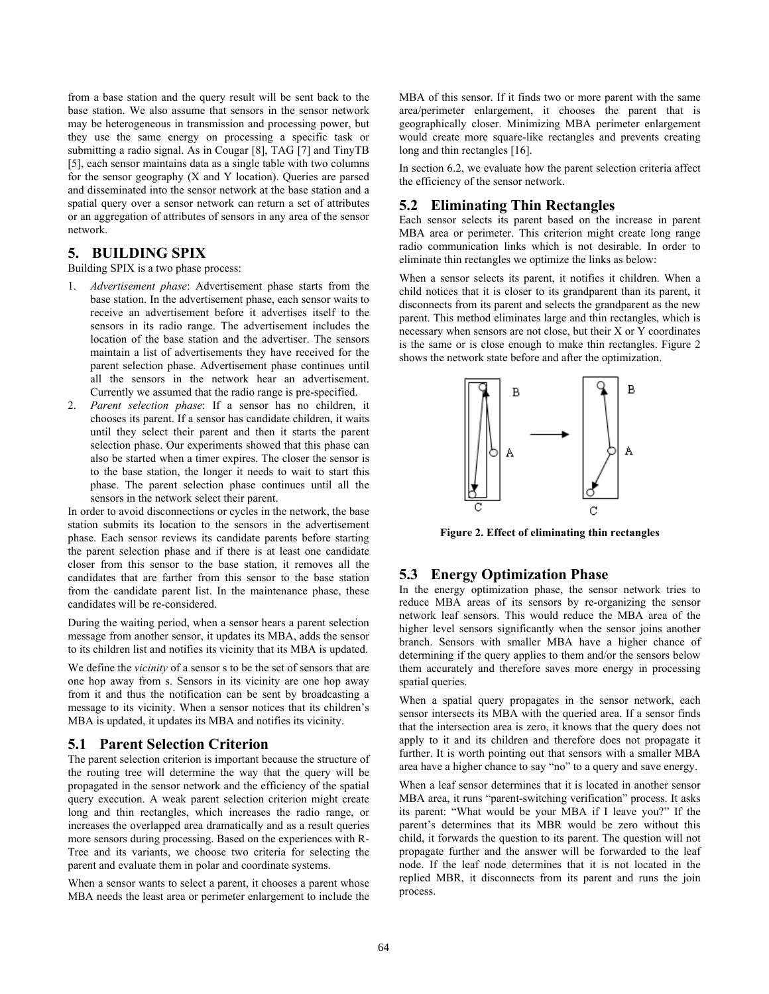from a base station and the query result will be sent back to the base station. We also assume that sensors in the sensor network may be heterogeneous in transmission and processing power, but they use the same energy on processing a specific task or submitting a radio signal. As in Cougar [8], TAG [7] and TinyTB [5], each sensor maintains data as a single table with two columns for the sensor geography (X and Y location). Queries are parsed and disseminated into the sensor network at the base station and a spatial query over a sensor network can return a set of attributes or an aggregation of attributes of sensors in any area of the sensor network.

### **5. BUILDING SPIX**

Building SPIX is a two phase process:

- 1. *Advertisement phase*: Advertisement phase starts from the base station. In the advertisement phase, each sensor waits to receive an advertisement before it advertises itself to the sensors in its radio range. The advertisement includes the location of the base station and the advertiser. The sensors maintain a list of advertisements they have received for the parent selection phase. Advertisement phase continues until all the sensors in the network hear an advertisement. Currently we assumed that the radio range is pre-specified.
- 2. *Parent selection phase*: If a sensor has no children, it chooses its parent. If a sensor has candidate children, it waits until they select their parent and then it starts the parent selection phase. Our experiments showed that this phase can also be started when a timer expires. The closer the sensor is to the base station, the longer it needs to wait to start this phase. The parent selection phase continues until all the sensors in the network select their parent.

In order to avoid disconnections or cycles in the network, the base station submits its location to the sensors in the advertisement phase. Each sensor reviews its candidate parents before starting the parent selection phase and if there is at least one candidate closer from this sensor to the base station, it removes all the candidates that are farther from this sensor to the base station from the candidate parent list. In the maintenance phase, these candidates will be re-considered.

During the waiting period, when a sensor hears a parent selection message from another sensor, it updates its MBA, adds the sensor to its children list and notifies its vicinity that its MBA is updated.

We define the *vicinity* of a sensor s to be the set of sensors that are one hop away from s. Sensors in its vicinity are one hop away from it and thus the notification can be sent by broadcasting a message to its vicinity. When a sensor notices that its children's MBA is updated, it updates its MBA and notifies its vicinity.

### **5.1 Parent Selection Criterion**

The parent selection criterion is important because the structure of the routing tree will determine the way that the query will be propagated in the sensor network and the efficiency of the spatial query execution. A weak parent selection criterion might create long and thin rectangles, which increases the radio range, or increases the overlapped area dramatically and as a result queries more sensors during processing. Based on the experiences with R-Tree and its variants, we choose two criteria for selecting the parent and evaluate them in polar and coordinate systems.

When a sensor wants to select a parent, it chooses a parent whose MBA needs the least area or perimeter enlargement to include the MBA of this sensor. If it finds two or more parent with the same area/perimeter enlargement, it chooses the parent that is geographically closer. Minimizing MBA perimeter enlargement would create more square-like rectangles and prevents creating long and thin rectangles [16].

In section 6.2, we evaluate how the parent selection criteria affect the efficiency of the sensor network.

### **5.2 Eliminating Thin Rectangles**

Each sensor selects its parent based on the increase in parent MBA area or perimeter. This criterion might create long range radio communication links which is not desirable. In order to eliminate thin rectangles we optimize the links as below:

When a sensor selects its parent, it notifies it children. When a child notices that it is closer to its grandparent than its parent, it disconnects from its parent and selects the grandparent as the new parent. This method eliminates large and thin rectangles, which is necessary when sensors are not close, but their X or Y coordinates is the same or is close enough to make thin rectangles. Figure 2 shows the network state before and after the optimization.



**Figure 2. Effect of eliminating thin rectangles** 

## **5.3 Energy Optimization Phase**

In the energy optimization phase, the sensor network tries to reduce MBA areas of its sensors by re-organizing the sensor network leaf sensors. This would reduce the MBA area of the higher level sensors significantly when the sensor joins another branch. Sensors with smaller MBA have a higher chance of determining if the query applies to them and/or the sensors below them accurately and therefore saves more energy in processing spatial queries.

When a spatial query propagates in the sensor network, each sensor intersects its MBA with the queried area. If a sensor finds that the intersection area is zero, it knows that the query does not apply to it and its children and therefore does not propagate it further. It is worth pointing out that sensors with a smaller MBA area have a higher chance to say "no" to a query and save energy.

When a leaf sensor determines that it is located in another sensor MBA area, it runs "parent-switching verification" process. It asks its parent: "What would be your MBA if I leave you?" If the parent's determines that its MBR would be zero without this child, it forwards the question to its parent. The question will not propagate further and the answer will be forwarded to the leaf node. If the leaf node determines that it is not located in the replied MBR, it disconnects from its parent and runs the join process.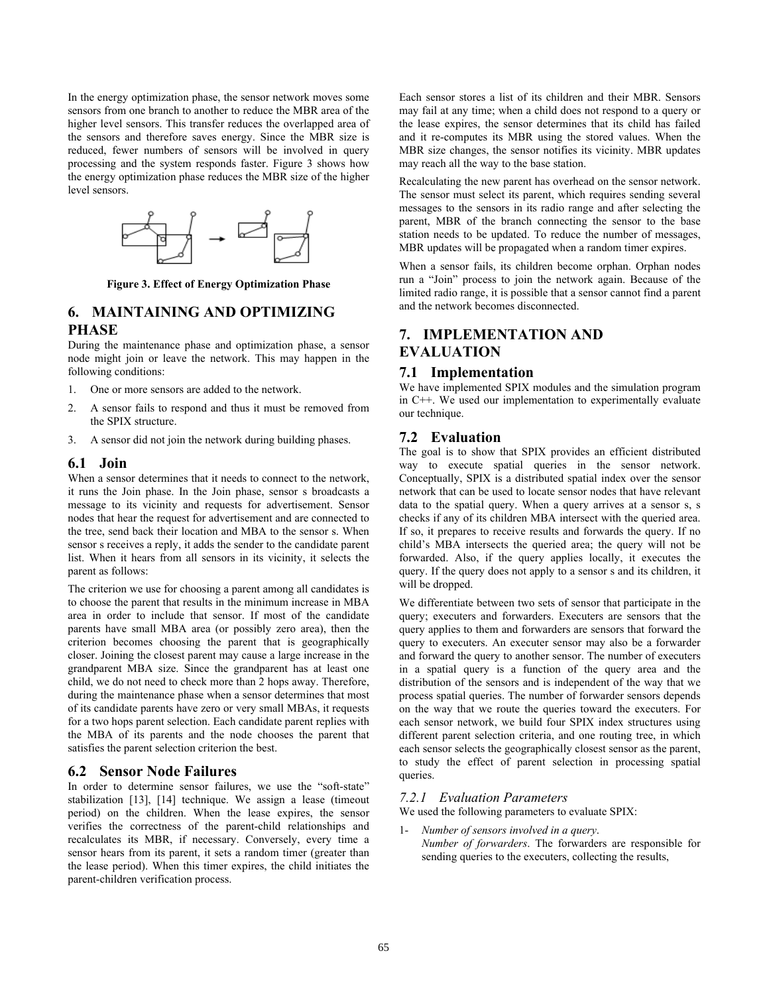In the energy optimization phase, the sensor network moves some sensors from one branch to another to reduce the MBR area of the higher level sensors. This transfer reduces the overlapped area of the sensors and therefore saves energy. Since the MBR size is reduced, fewer numbers of sensors will be involved in query processing and the system responds faster. Figure 3 shows how the energy optimization phase reduces the MBR size of the higher level sensors.



**Figure 3. Effect of Energy Optimization Phase** 

## **6. MAINTAINING AND OPTIMIZING PHASE**

During the maintenance phase and optimization phase, a sensor node might join or leave the network. This may happen in the following conditions:

- 1. One or more sensors are added to the network.
- 2. A sensor fails to respond and thus it must be removed from the SPIX structure.
- 3. A sensor did not join the network during building phases.

## **6.1 Join**

When a sensor determines that it needs to connect to the network, it runs the Join phase. In the Join phase, sensor s broadcasts a message to its vicinity and requests for advertisement. Sensor nodes that hear the request for advertisement and are connected to the tree, send back their location and MBA to the sensor s. When sensor s receives a reply, it adds the sender to the candidate parent list. When it hears from all sensors in its vicinity, it selects the parent as follows:

The criterion we use for choosing a parent among all candidates is to choose the parent that results in the minimum increase in MBA area in order to include that sensor. If most of the candidate parents have small MBA area (or possibly zero area), then the criterion becomes choosing the parent that is geographically closer. Joining the closest parent may cause a large increase in the grandparent MBA size. Since the grandparent has at least one child, we do not need to check more than 2 hops away. Therefore, during the maintenance phase when a sensor determines that most of its candidate parents have zero or very small MBAs, it requests for a two hops parent selection. Each candidate parent replies with the MBA of its parents and the node chooses the parent that satisfies the parent selection criterion the best.

## **6.2 Sensor Node Failures**

In order to determine sensor failures, we use the "soft-state" stabilization [13], [14] technique. We assign a lease (timeout period) on the children. When the lease expires, the sensor verifies the correctness of the parent-child relationships and recalculates its MBR, if necessary. Conversely, every time a sensor hears from its parent, it sets a random timer (greater than the lease period). When this timer expires, the child initiates the parent-children verification process.

Each sensor stores a list of its children and their MBR. Sensors may fail at any time; when a child does not respond to a query or the lease expires, the sensor determines that its child has failed and it re-computes its MBR using the stored values. When the MBR size changes, the sensor notifies its vicinity. MBR updates may reach all the way to the base station.

Recalculating the new parent has overhead on the sensor network. The sensor must select its parent, which requires sending several messages to the sensors in its radio range and after selecting the parent, MBR of the branch connecting the sensor to the base station needs to be updated. To reduce the number of messages, MBR updates will be propagated when a random timer expires.

When a sensor fails, its children become orphan. Orphan nodes run a "Join" process to join the network again. Because of the limited radio range, it is possible that a sensor cannot find a parent and the network becomes disconnected.

## **7. IMPLEMENTATION AND EVALUATION**

## **7.1 Implementation**

We have implemented SPIX modules and the simulation program in C++. We used our implementation to experimentally evaluate our technique.

## **7.2 Evaluation**

The goal is to show that SPIX provides an efficient distributed way to execute spatial queries in the sensor network. Conceptually, SPIX is a distributed spatial index over the sensor network that can be used to locate sensor nodes that have relevant data to the spatial query. When a query arrives at a sensor s, s checks if any of its children MBA intersect with the queried area. If so, it prepares to receive results and forwards the query. If no child's MBA intersects the queried area; the query will not be forwarded. Also, if the query applies locally, it executes the query. If the query does not apply to a sensor s and its children, it will be dropped.

We differentiate between two sets of sensor that participate in the query; executers and forwarders. Executers are sensors that the query applies to them and forwarders are sensors that forward the query to executers. An executer sensor may also be a forwarder and forward the query to another sensor. The number of executers in a spatial query is a function of the query area and the distribution of the sensors and is independent of the way that we process spatial queries. The number of forwarder sensors depends on the way that we route the queries toward the executers. For each sensor network, we build four SPIX index structures using different parent selection criteria, and one routing tree, in which each sensor selects the geographically closest sensor as the parent, to study the effect of parent selection in processing spatial queries.

## *7.2.1 Evaluation Parameters*

We used the following parameters to evaluate SPIX:

1- *Number of sensors involved in a query*. *Number of forwarders*. The forwarders are responsible for sending queries to the executers, collecting the results,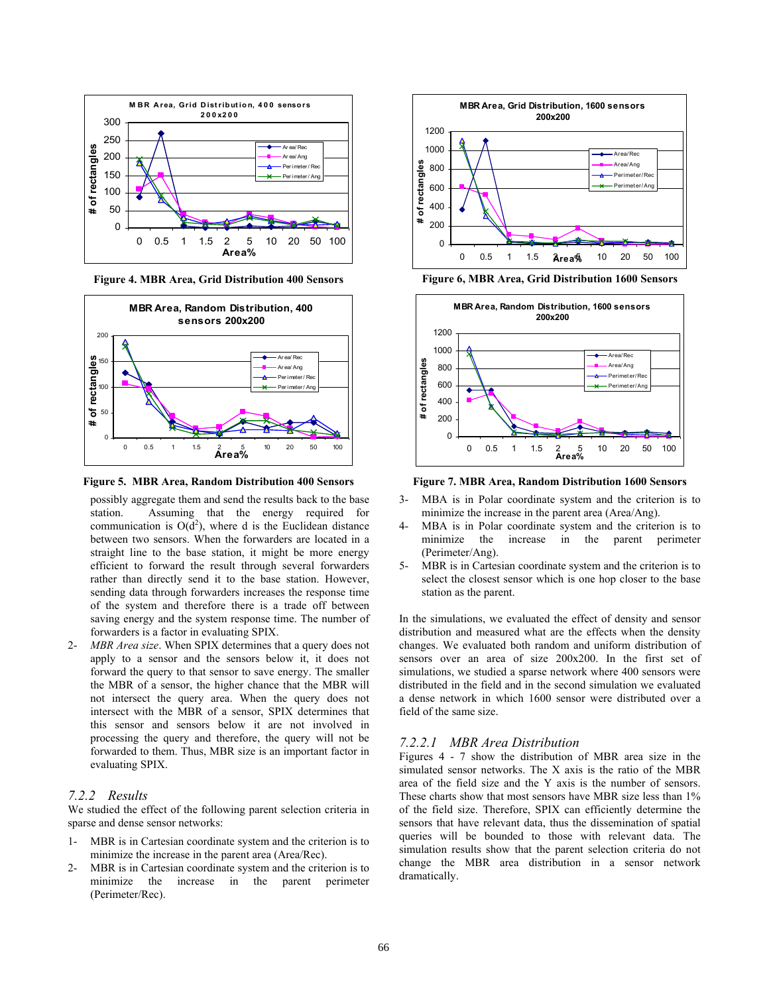

**Figure 4. MBR Area, Grid Distribution 400 Sensors** 



**Figure 5. MBR Area, Random Distribution 400 Sensors** 

possibly aggregate them and send the results back to the base station. Assuming that the energy required for communication is  $O(d^2)$ , where d is the Euclidean distance between two sensors. When the forwarders are located in a straight line to the base station, it might be more energy efficient to forward the result through several forwarders rather than directly send it to the base station. However, sending data through forwarders increases the response time of the system and therefore there is a trade off between saving energy and the system response time. The number of forwarders is a factor in evaluating SPIX.

2- *MBR Area size*. When SPIX determines that a query does not apply to a sensor and the sensors below it, it does not forward the query to that sensor to save energy. The smaller the MBR of a sensor, the higher chance that the MBR will not intersect the query area. When the query does not intersect with the MBR of a sensor, SPIX determines that this sensor and sensors below it are not involved in processing the query and therefore, the query will not be forwarded to them. Thus, MBR size is an important factor in evaluating SPIX.

### *7.2.2 Results*

We studied the effect of the following parent selection criteria in sparse and dense sensor networks:

- 1- MBR is in Cartesian coordinate system and the criterion is to minimize the increase in the parent area (Area/Rec).
- 2- MBR is in Cartesian coordinate system and the criterion is to minimize the increase in the parent perimeter (Perimeter/Rec).



**Figure 6, MBR Area, Grid Distribution 1600 Sensors** 



**Figure 7. MBR Area, Random Distribution 1600 Sensors**

- 3- MBA is in Polar coordinate system and the criterion is to minimize the increase in the parent area (Area/Ang).
- 4- MBA is in Polar coordinate system and the criterion is to minimize the increase in the parent perimeter (Perimeter/Ang).
- 5- MBR is in Cartesian coordinate system and the criterion is to select the closest sensor which is one hop closer to the base station as the parent.

In the simulations, we evaluated the effect of density and sensor distribution and measured what are the effects when the density changes. We evaluated both random and uniform distribution of sensors over an area of size 200x200. In the first set of simulations, we studied a sparse network where 400 sensors were distributed in the field and in the second simulation we evaluated a dense network in which 1600 sensor were distributed over a field of the same size.

#### *7.2.2.1 MBR Area Distribution*

Figures 4 - 7 show the distribution of MBR area size in the simulated sensor networks. The X axis is the ratio of the MBR area of the field size and the Y axis is the number of sensors. These charts show that most sensors have MBR size less than  $1\%$ of the field size. Therefore, SPIX can efficiently determine the sensors that have relevant data, thus the dissemination of spatial queries will be bounded to those with relevant data. The simulation results show that the parent selection criteria do not change the MBR area distribution in a sensor network dramatically.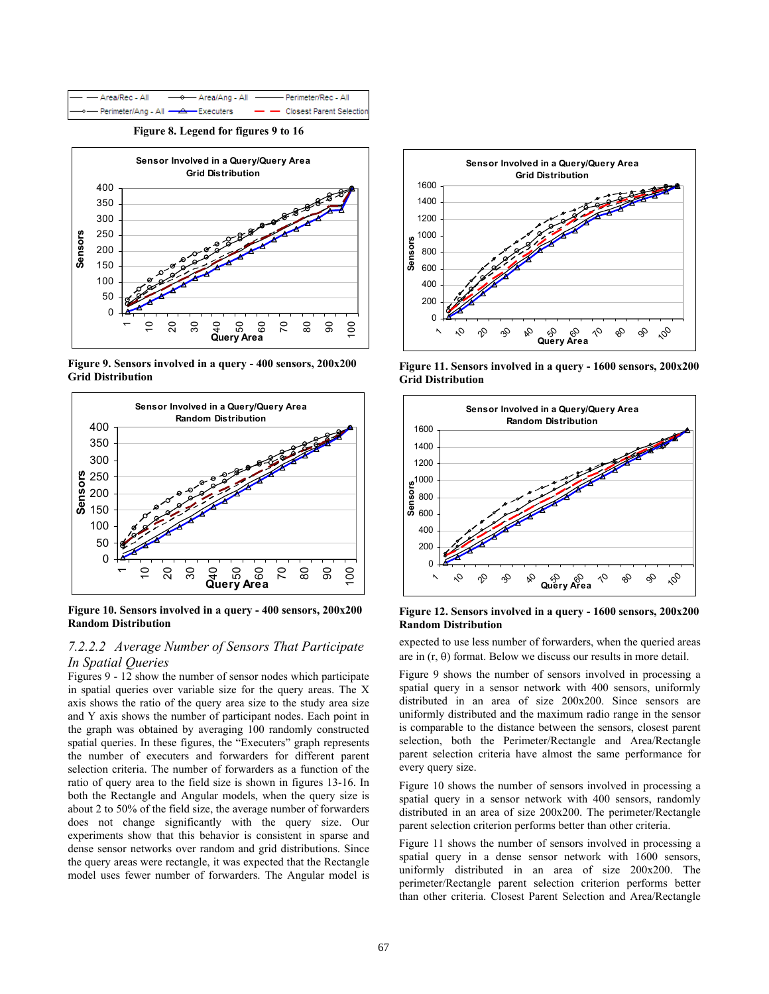

**Figure 8. Legend for figures 9 to 16** 



**Figure 9. Sensors involved in a query - 400 sensors, 200x200 Grid Distribution** 



**Figure 10. Sensors involved in a query - 400 sensors, 200x200 Random Distribution** 

### *7.2.2.2 Average Number of Sensors That Participate In Spatial Queries*

Figures 9 - 12 show the number of sensor nodes which participate in spatial queries over variable size for the query areas. The X axis shows the ratio of the query area size to the study area size and Y axis shows the number of participant nodes. Each point in the graph was obtained by averaging 100 randomly constructed spatial queries. In these figures, the "Executers" graph represents the number of executers and forwarders for different parent selection criteria. The number of forwarders as a function of the ratio of query area to the field size is shown in figures 13-16. In both the Rectangle and Angular models, when the query size is about 2 to 50% of the field size, the average number of forwarders does not change significantly with the query size. Our experiments show that this behavior is consistent in sparse and dense sensor networks over random and grid distributions. Since the query areas were rectangle, it was expected that the Rectangle model uses fewer number of forwarders. The Angular model is



**Figure 11. Sensors involved in a query - 1600 sensors, 200x200 Grid Distribution** 



**Figure 12. Sensors involved in a query - 1600 sensors, 200x200 Random Distribution**

expected to use less number of forwarders, when the queried areas are in (r, θ) format. Below we discuss our results in more detail.

Figure 9 shows the number of sensors involved in processing a spatial query in a sensor network with 400 sensors, uniformly distributed in an area of size 200x200. Since sensors are uniformly distributed and the maximum radio range in the sensor is comparable to the distance between the sensors, closest parent selection, both the Perimeter/Rectangle and Area/Rectangle parent selection criteria have almost the same performance for every query size.

Figure 10 shows the number of sensors involved in processing a spatial query in a sensor network with 400 sensors, randomly distributed in an area of size 200x200. The perimeter/Rectangle parent selection criterion performs better than other criteria.

Figure 11 shows the number of sensors involved in processing a spatial query in a dense sensor network with 1600 sensors, uniformly distributed in an area of size 200x200. The perimeter/Rectangle parent selection criterion performs better than other criteria. Closest Parent Selection and Area/Rectangle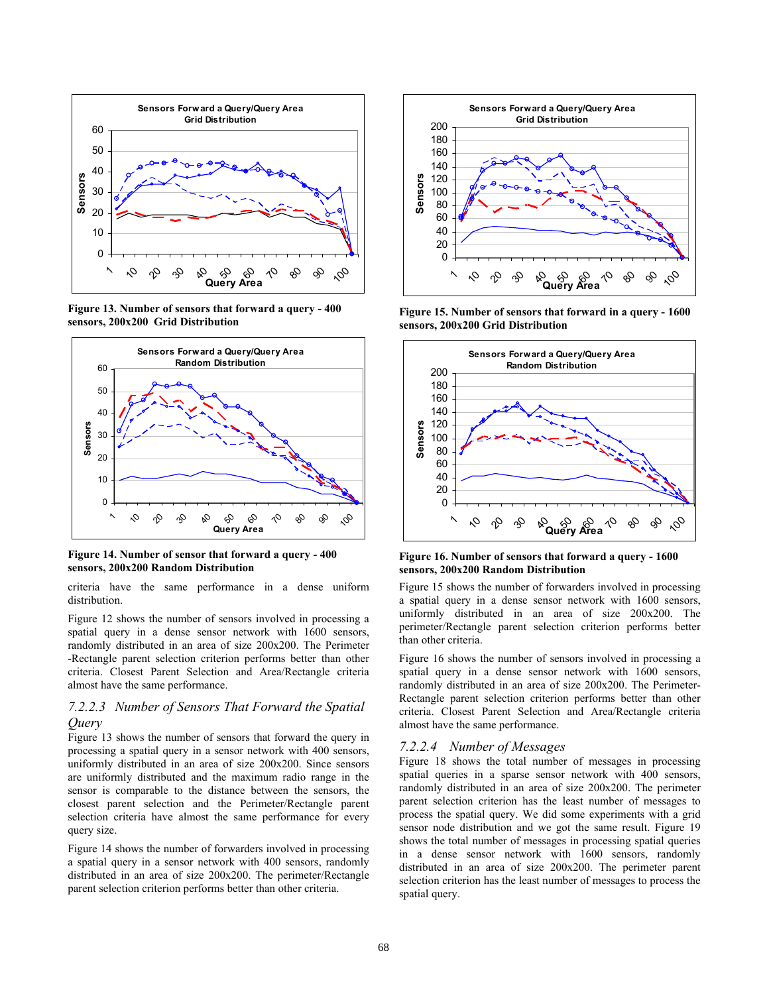

**Figure 13. Number of sensors that forward a query - 400 sensors, 200x200 Grid Distribution** 



**Figure 14. Number of sensor that forward a query - 400 sensors, 200x200 Random Distribution** 

criteria have the same performance in a dense uniform distribution.

Figure 12 shows the number of sensors involved in processing a spatial query in a dense sensor network with 1600 sensors, randomly distributed in an area of size 200x200. The Perimeter -Rectangle parent selection criterion performs better than other criteria. Closest Parent Selection and Area/Rectangle criteria almost have the same performance.

## *7.2.2.3 Number of Sensors That Forward the Spatial Query*

Figure 13 shows the number of sensors that forward the query in processing a spatial query in a sensor network with 400 sensors, uniformly distributed in an area of size 200x200. Since sensors are uniformly distributed and the maximum radio range in the sensor is comparable to the distance between the sensors, the closest parent selection and the Perimeter/Rectangle parent selection criteria have almost the same performance for every query size.

Figure 14 shows the number of forwarders involved in processing a spatial query in a sensor network with 400 sensors, randomly distributed in an area of size 200x200. The perimeter/Rectangle parent selection criterion performs better than other criteria.



**Figure 15. Number of sensors that forward in a query - 1600 sensors, 200x200 Grid Distribution** 



**Figure 16. Number of sensors that forward a query - 1600 sensors, 200x200 Random Distribution**

Figure 15 shows the number of forwarders involved in processing a spatial query in a dense sensor network with 1600 sensors, uniformly distributed in an area of size 200x200. The perimeter/Rectangle parent selection criterion performs better than other criteria.

Figure 16 shows the number of sensors involved in processing a spatial query in a dense sensor network with 1600 sensors, randomly distributed in an area of size 200x200. The Perimeter-Rectangle parent selection criterion performs better than other criteria. Closest Parent Selection and Area/Rectangle criteria almost have the same performance.

### *7.2.2.4 Number of Messages*

Figure 18 shows the total number of messages in processing spatial queries in a sparse sensor network with 400 sensors, randomly distributed in an area of size 200x200. The perimeter parent selection criterion has the least number of messages to process the spatial query. We did some experiments with a grid sensor node distribution and we got the same result. Figure 19 shows the total number of messages in processing spatial queries in a dense sensor network with 1600 sensors, randomly distributed in an area of size 200x200. The perimeter parent selection criterion has the least number of messages to process the spatial query.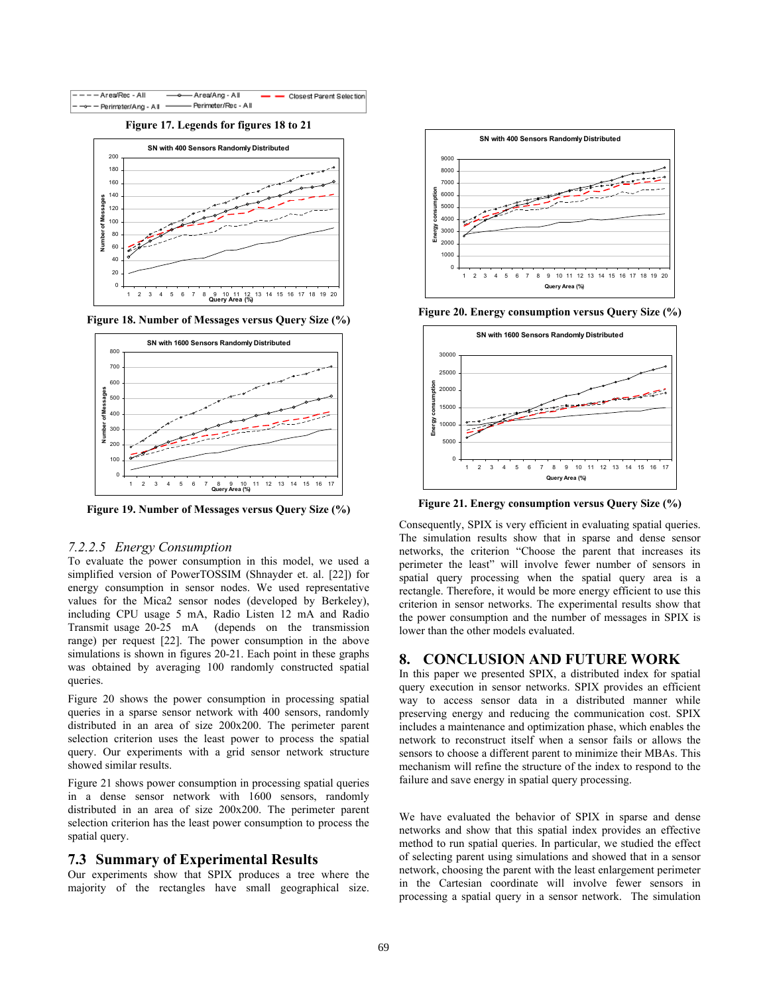

**Figure 18. Number of Messages versus Query Size (%)** 

1 2 3 4 5 6 7 8 9 10 11 12 13 14 15 16 17 18 19 20 **Query Area (%)**



**Figure 19. Number of Messages versus Query Size (%)** 

### *7.2.2.5 Energy Consumption*

0 20

To evaluate the power consumption in this model, we used a simplified version of PowerTOSSIM (Shnayder et. al. [22]) for energy consumption in sensor nodes. We used representative values for the Mica2 sensor nodes (developed by Berkeley), including CPU usage 5 mA, Radio Listen 12 mA and Radio Transmit usage 20-25 mA (depends on the transmission range) per request [22]. The power consumption in the above simulations is shown in figures 20-21. Each point in these graphs was obtained by averaging 100 randomly constructed spatial queries.

Figure 20 shows the power consumption in processing spatial queries in a sparse sensor network with 400 sensors, randomly distributed in an area of size 200x200. The perimeter parent selection criterion uses the least power to process the spatial query. Our experiments with a grid sensor network structure showed similar results.

Figure 21 shows power consumption in processing spatial queries in a dense sensor network with 1600 sensors, randomly distributed in an area of size 200x200. The perimeter parent selection criterion has the least power consumption to process the spatial query.

### **7.3 Summary of Experimental Results**

Our experiments show that SPIX produces a tree where the majority of the rectangles have small geographical size.



**Figure 20. Energy consumption versus Query Size (%)** 



**Figure 21. Energy consumption versus Query Size (%)**

Consequently, SPIX is very efficient in evaluating spatial queries. The simulation results show that in sparse and dense sensor networks, the criterion "Choose the parent that increases its perimeter the least" will involve fewer number of sensors in spatial query processing when the spatial query area is a rectangle. Therefore, it would be more energy efficient to use this criterion in sensor networks. The experimental results show that the power consumption and the number of messages in SPIX is lower than the other models evaluated.

### **8. CONCLUSION AND FUTURE WORK**

In this paper we presented SPIX, a distributed index for spatial query execution in sensor networks. SPIX provides an efficient way to access sensor data in a distributed manner while preserving energy and reducing the communication cost. SPIX includes a maintenance and optimization phase, which enables the network to reconstruct itself when a sensor fails or allows the sensors to choose a different parent to minimize their MBAs. This mechanism will refine the structure of the index to respond to the failure and save energy in spatial query processing.

We have evaluated the behavior of SPIX in sparse and dense networks and show that this spatial index provides an effective method to run spatial queries. In particular, we studied the effect of selecting parent using simulations and showed that in a sensor network, choosing the parent with the least enlargement perimeter in the Cartesian coordinate will involve fewer sensors in processing a spatial query in a sensor network. The simulation